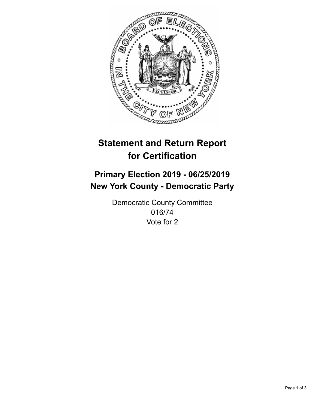

## **Statement and Return Report for Certification**

## **Primary Election 2019 - 06/25/2019 New York County - Democratic Party**

Democratic County Committee 016/74 Vote for 2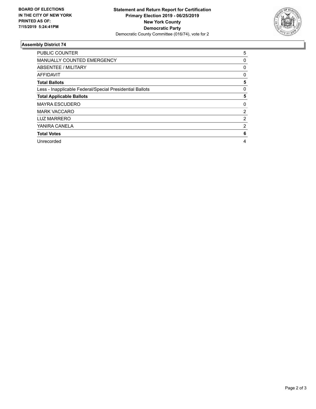

## **Assembly District 74**

| <b>PUBLIC COUNTER</b>                                    | 5 |
|----------------------------------------------------------|---|
| <b>MANUALLY COUNTED EMERGENCY</b>                        | 0 |
| ABSENTEE / MILITARY                                      | 0 |
| <b>AFFIDAVIT</b>                                         | 0 |
| <b>Total Ballots</b>                                     | 5 |
| Less - Inapplicable Federal/Special Presidential Ballots | 0 |
| <b>Total Applicable Ballots</b>                          | 5 |
| <b>MAYRA ESCUDERO</b>                                    | 0 |
| <b>MARK VACCARO</b>                                      | 2 |
| <b>LUZ MARRERO</b>                                       | 2 |
| YANIRA CANELA                                            | 2 |
| <b>Total Votes</b>                                       | 6 |
| Unrecorded                                               | 4 |